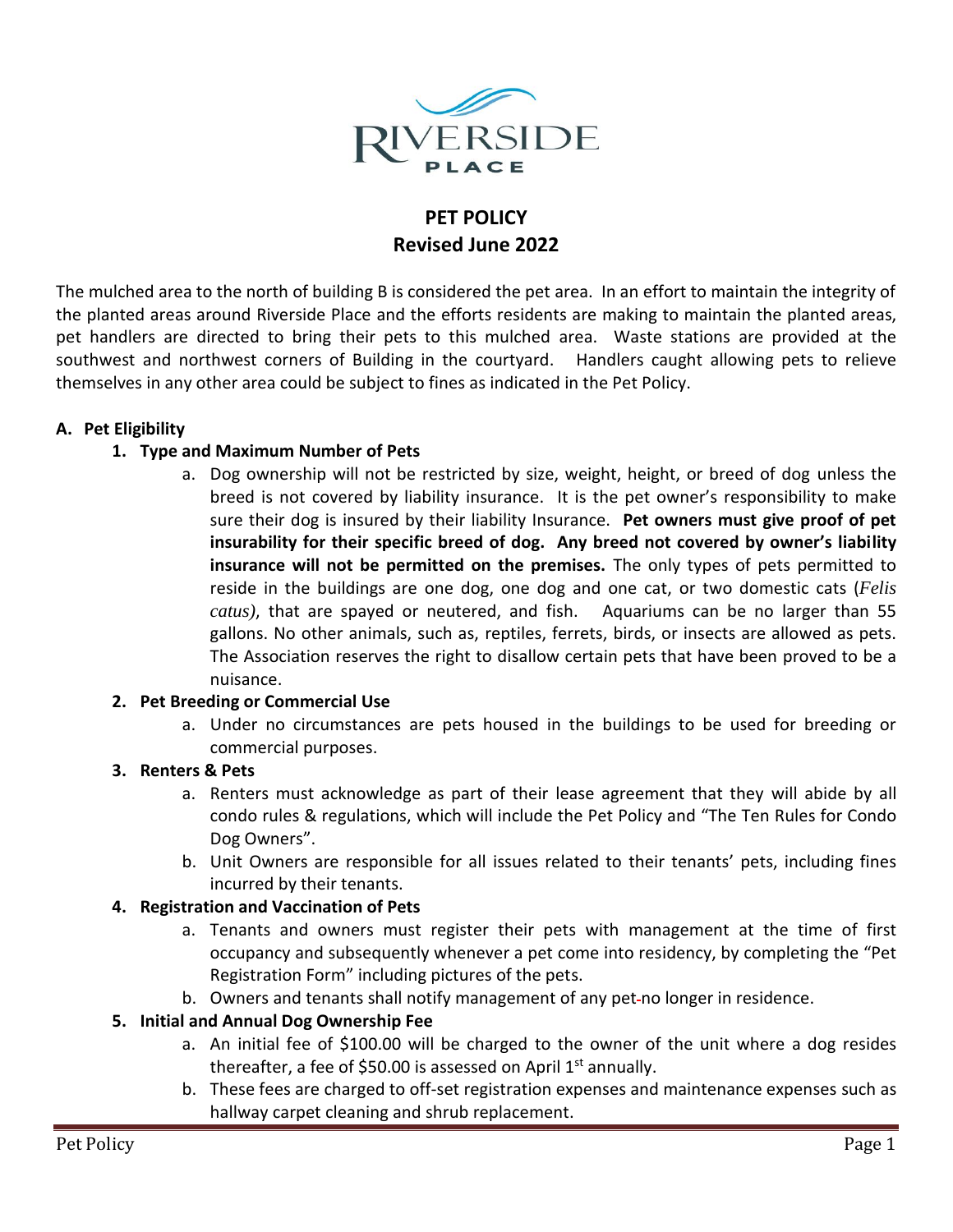

# **PET POLICY Revised June 2022**

The mulched area to the north of building B is considered the pet area. In an effort to maintain the integrity of the planted areas around Riverside Place and the efforts residents are making to maintain the planted areas, pet handlers are directed to bring their pets to this mulched area. Waste stations are provided at the southwest and northwest corners of Building in the courtyard. Handlers caught allowing pets to relieve themselves in any other area could be subject to fines as indicated in the Pet Policy.

## **A. Pet Eligibility**

# **1. Type and Maximum Number of Pets**

a. Dog ownership will not be restricted by size, weight, height, or breed of dog unless the breed is not covered by liability insurance. It is the pet owner's responsibility to make sure their dog is insured by their liability Insurance. **Pet owners must give proof of pet insurability for their specific breed of dog. Any breed not covered by owner's liability insurance will not be permitted on the premises.** The only types of pets permitted to reside in the buildings are one dog, one dog and one cat, or two domestic cats (*Felis catus)*, that are spayed or neutered, and fish. Aquariums can be no larger than 55 gallons. No other animals, such as, reptiles, ferrets, birds, or insects are allowed as pets. The Association reserves the right to disallow certain pets that have been proved to be a nuisance.

#### **2. Pet Breeding or Commercial Use**

a. Under no circumstances are pets housed in the buildings to be used for breeding or commercial purposes.

## **3. Renters & Pets**

- a. Renters must acknowledge as part of their lease agreement that they will abide by all condo rules & regulations, which will include the Pet Policy and "The Ten Rules for Condo Dog Owners".
- b. Unit Owners are responsible for all issues related to their tenants' pets, including fines incurred by their tenants.

#### **4. Registration and Vaccination of Pets**

- a. Tenants and owners must register their pets with management at the time of first occupancy and subsequently whenever a pet come into residency, by completing the "Pet Registration Form" including pictures of the pets.
- b. Owners and tenants shall notify management of any pet-no longer in residence.

# **5. Initial and Annual Dog Ownership Fee**

- a. An initial fee of \$100.00 will be charged to the owner of the unit where a dog resides thereafter, a fee of \$50.00 is assessed on April  $1<sup>st</sup>$  annually.
- b. These fees are charged to off-set registration expenses and maintenance expenses such as hallway carpet cleaning and shrub replacement.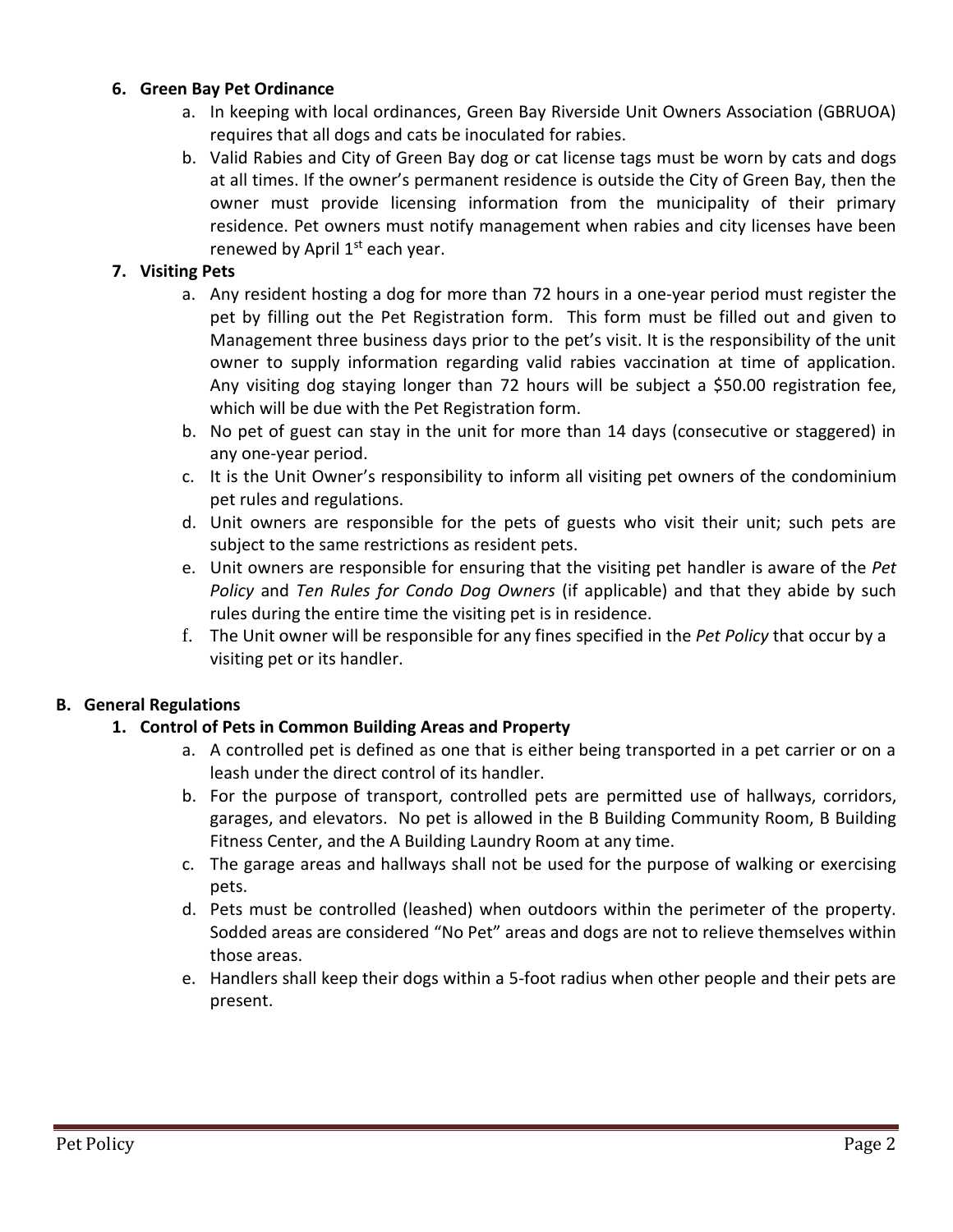## **6. Green Bay Pet Ordinance**

- a. In keeping with local ordinances, Green Bay Riverside Unit Owners Association (GBRUOA) requires that all dogs and cats be inoculated for rabies.
- b. Valid Rabies and City of Green Bay dog or cat license tags must be worn by cats and dogs at all times. If the owner's permanent residence is outside the City of Green Bay, then the owner must provide licensing information from the municipality of their primary residence. Pet owners must notify management when rabies and city licenses have been renewed by April  $1<sup>st</sup>$  each year.

## **7. Visiting Pets**

- a. Any resident hosting a dog for more than 72 hours in a one-year period must register the pet by filling out the Pet Registration form. This form must be filled out and given to Management three business days prior to the pet's visit. It is the responsibility of the unit owner to supply information regarding valid rabies vaccination at time of application. Any visiting dog staying longer than 72 hours will be subject a \$50.00 registration fee, which will be due with the Pet Registration form.
- b. No pet of guest can stay in the unit for more than 14 days (consecutive or staggered) in any one-year period.
- c. It is the Unit Owner's responsibility to inform all visiting pet owners of the condominium pet rules and regulations.
- d. Unit owners are responsible for the pets of guests who visit their unit; such pets are subject to the same restrictions as resident pets.
- e. Unit owners are responsible for ensuring that the visiting pet handler is aware of the *Pet Policy* and *Ten Rules for Condo Dog Owners* (if applicable) and that they abide by such rules during the entire time the visiting pet is in residence.
- f. The Unit owner will be responsible for any fines specified in the *Pet Policy* that occur by a visiting pet or its handler.

# **B. General Regulations**

# **1. Control of Pets in Common Building Areas and Property**

- a. A controlled pet is defined as one that is either being transported in a pet carrier or on a leash under the direct control of its handler.
- b. For the purpose of transport, controlled pets are permitted use of hallways, corridors, garages, and elevators. No pet is allowed in the B Building Community Room, B Building Fitness Center, and the A Building Laundry Room at any time.
- c. The garage areas and hallways shall not be used for the purpose of walking or exercising pets.
- d. Pets must be controlled (leashed) when outdoors within the perimeter of the property. Sodded areas are considered "No Pet" areas and dogs are not to relieve themselves within those areas.
- e. Handlers shall keep their dogs within a 5-foot radius when other people and their pets are present.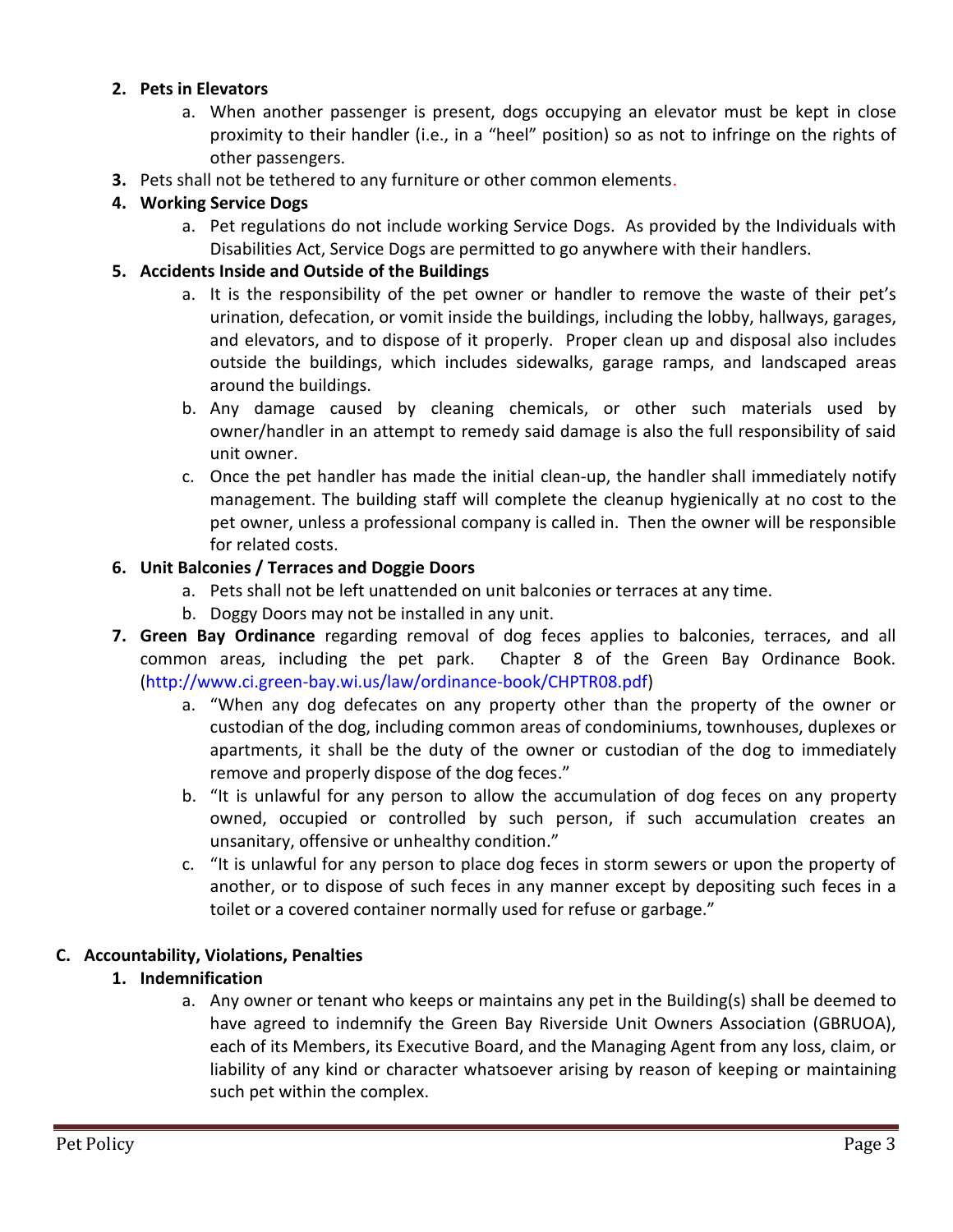# **2. Pets in Elevators**

- a. When another passenger is present, dogs occupying an elevator must be kept in close proximity to their handler (i.e., in a "heel" position) so as not to infringe on the rights of other passengers.
- **3.** Pets shall not be tethered to any furniture or other common elements.

## **4. Working Service Dogs**

a. Pet regulations do not include working Service Dogs. As provided by the Individuals with Disabilities Act, Service Dogs are permitted to go anywhere with their handlers.

#### **5. Accidents Inside and Outside of the Buildings**

- a. It is the responsibility of the pet owner or handler to remove the waste of their pet's urination, defecation, or vomit inside the buildings, including the lobby, hallways, garages, and elevators, and to dispose of it properly. Proper clean up and disposal also includes outside the buildings, which includes sidewalks, garage ramps, and landscaped areas around the buildings.
- b. Any damage caused by cleaning chemicals, or other such materials used by owner/handler in an attempt to remedy said damage is also the full responsibility of said unit owner.
- c. Once the pet handler has made the initial clean-up, the handler shall immediately notify management. The building staff will complete the cleanup hygienically at no cost to the pet owner, unless a professional company is called in. Then the owner will be responsible for related costs.

#### **6. Unit Balconies / Terraces and Doggie Doors**

- a. Pets shall not be left unattended on unit balconies or terraces at any time.
- b. Doggy Doors may not be installed in any unit.
- **7. Green Bay Ordinance** regarding removal of dog feces applies to balconies, terraces, and all common areas, including the pet park. Chapter 8 of the Green Bay Ordinance Book. (http://www.ci.green-bay.wi.us/law/ordinance-book/CHPTR08.pdf)
	- a. "When any dog defecates on any property other than the property of the owner or custodian of the dog, including common areas of condominiums, townhouses, duplexes or apartments, it shall be the duty of the owner or custodian of the dog to immediately remove and properly dispose of the dog feces."
	- b. "It is unlawful for any person to allow the accumulation of dog feces on any property owned, occupied or controlled by such person, if such accumulation creates an unsanitary, offensive or unhealthy condition."
	- c. "It is unlawful for any person to place dog feces in storm sewers or upon the property of another, or to dispose of such feces in any manner except by depositing such feces in a toilet or a covered container normally used for refuse or garbage."

#### **C. Accountability, Violations, Penalties**

#### **1. Indemnification**

a. Any owner or tenant who keeps or maintains any pet in the Building(s) shall be deemed to have agreed to indemnify the Green Bay Riverside Unit Owners Association (GBRUOA), each of its Members, its Executive Board, and the Managing Agent from any loss, claim, or liability of any kind or character whatsoever arising by reason of keeping or maintaining such pet within the complex.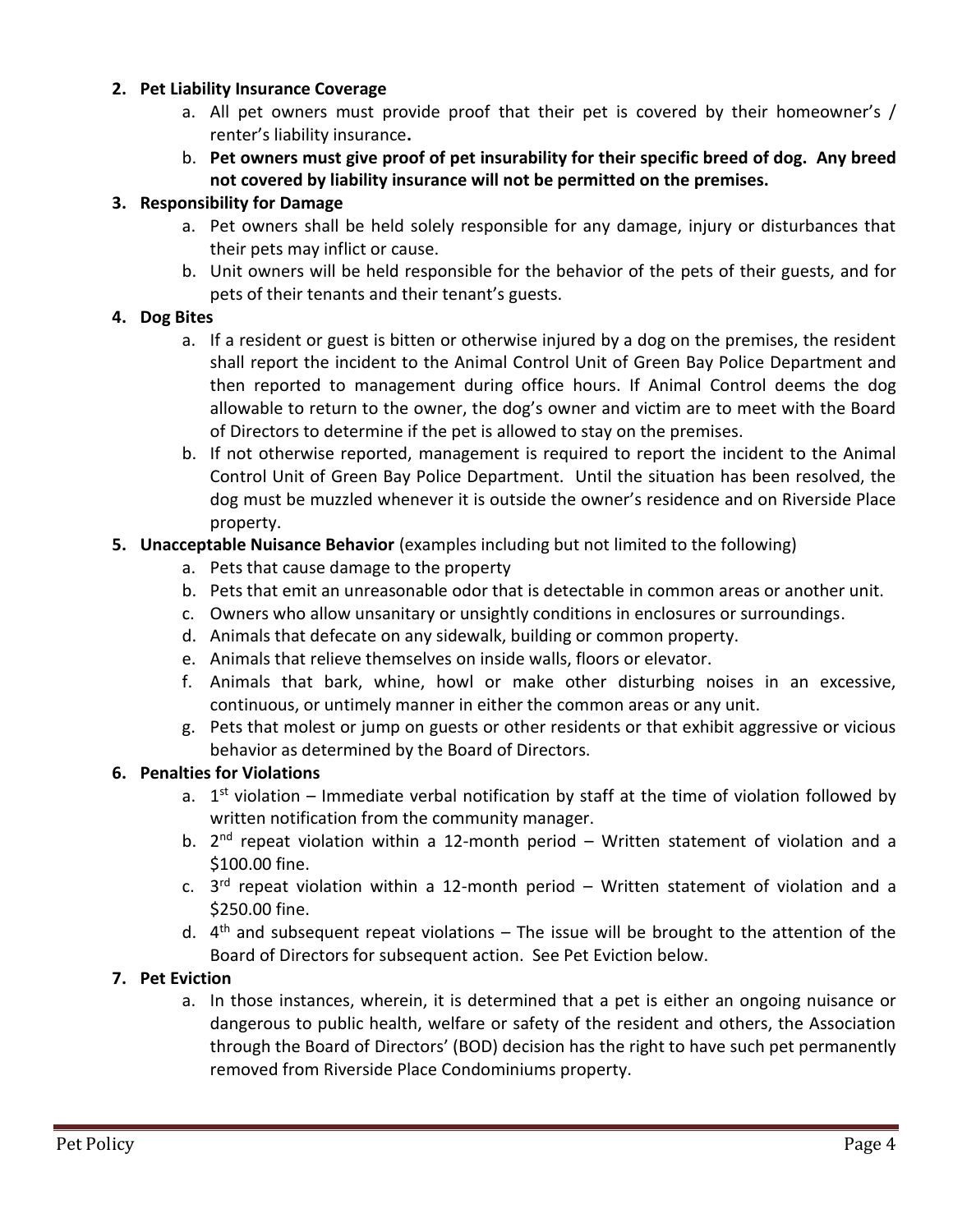## **2. Pet Liability Insurance Coverage**

- a. All pet owners must provide proof that their pet is covered by their homeowner's / renter's liability insurance**.**
- b. **Pet owners must give proof of pet insurability for their specific breed of dog. Any breed not covered by liability insurance will not be permitted on the premises.**

## **3. Responsibility for Damage**

- a. Pet owners shall be held solely responsible for any damage, injury or disturbances that their pets may inflict or cause.
- b. Unit owners will be held responsible for the behavior of the pets of their guests, and for pets of their tenants and their tenant's guests.

## **4. Dog Bites**

- a. If a resident or guest is bitten or otherwise injured by a dog on the premises, the resident shall report the incident to the Animal Control Unit of Green Bay Police Department and then reported to management during office hours. If Animal Control deems the dog allowable to return to the owner, the dog's owner and victim are to meet with the Board of Directors to determine if the pet is allowed to stay on the premises.
- b. If not otherwise reported, management is required to report the incident to the Animal Control Unit of Green Bay Police Department. Until the situation has been resolved, the dog must be muzzled whenever it is outside the owner's residence and on Riverside Place property.

## **5. Unacceptable Nuisance Behavior** (examples including but not limited to the following)

- a. Pets that cause damage to the property
- b. Pets that emit an unreasonable odor that is detectable in common areas or another unit.
- c. Owners who allow unsanitary or unsightly conditions in enclosures or surroundings.
- d. Animals that defecate on any sidewalk, building or common property.
- e. Animals that relieve themselves on inside walls, floors or elevator.
- f. Animals that bark, whine, howl or make other disturbing noises in an excessive, continuous, or untimely manner in either the common areas or any unit.
- g. Pets that molest or jump on guests or other residents or that exhibit aggressive or vicious behavior as determined by the Board of Directors.

#### **6. Penalties for Violations**

- a.  $1<sup>st</sup>$  violation Immediate verbal notification by staff at the time of violation followed by written notification from the community manager.
- b. 2<sup>nd</sup> repeat violation within a 12-month period Written statement of violation and a \$100.00 fine.
- c. 3<sup>rd</sup> repeat violation within a 12-month period Written statement of violation and a \$250.00 fine.
- d.  $4<sup>th</sup>$  and subsequent repeat violations The issue will be brought to the attention of the Board of Directors for subsequent action. See Pet Eviction below.

#### **7. Pet Eviction**

a. In those instances, wherein, it is determined that a pet is either an ongoing nuisance or dangerous to public health, welfare or safety of the resident and others, the Association through the Board of Directors' (BOD) decision has the right to have such pet permanently removed from Riverside Place Condominiums property.